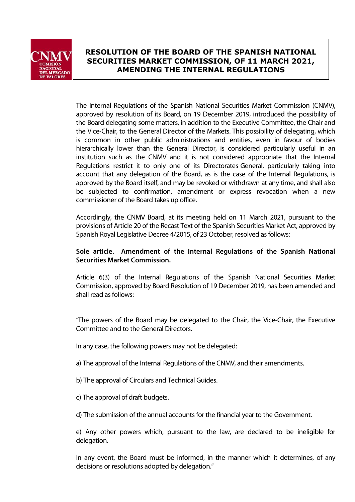

## **RESOLUTION OF THE BOARD OF THE SPANISH NATIONAL SECURITIES MARKET COMMISSION, OF 11 MARCH 2021, AMENDING THE INTERNAL REGULATIONS**

The Internal Regulations of the Spanish National Securities Market Commission (CNMV), approved by resolution of its Board, on 19 December 2019, introduced the possibility of the Board delegating some matters, in addition to the Executive Committee, the Chair and the Vice-Chair, to the General Director of the Markets. This possibility of delegating, which is common in other public administrations and entities, even in favour of bodies hierarchically lower than the General Director, is considered particularly useful in an institution such as the CNMV and it is not considered appropriate that the Internal Regulations restrict it to only one of its Directorates-General, particularly taking into account that any delegation of the Board, as is the case of the Internal Regulations, is approved by the Board itself, and may be revoked or withdrawn at any time, and shall also be subjected to confirmation, amendment or express revocation when a new commissioner of the Board takes up office.

Accordingly, the CNMV Board, at its meeting held on 11 March 2021, pursuant to the provisions of Article 20 of the Recast Text of the Spanish Securities Market Act, approved by Spanish Royal Legislative Decree 4/2015, of 23 October, resolved as follows:

## **Sole article. Amendment of the Internal Regulations of the Spanish National Securities Market Commission.**

Article 6(3) of the Internal Regulations of the Spanish National Securities Market Commission, approved by Board Resolution of 19 December 2019, has been amended and shall read as follows:

"The powers of the Board may be delegated to the Chair, the Vice-Chair, the Executive Committee and to the General Directors.

In any case, the following powers may not be delegated:

- a) The approval of the Internal Regulations of the CNMV, and their amendments.
- b) The approval of Circulars and Technical Guides.
- c) The approval of draft budgets.
- d) The submission of the annual accounts for the financial year to the Government.

e) Any other powers which, pursuant to the law, are declared to be ineligible for delegation.

In any event, the Board must be informed, in the manner which it determines, of any decisions or resolutions adopted by delegation."